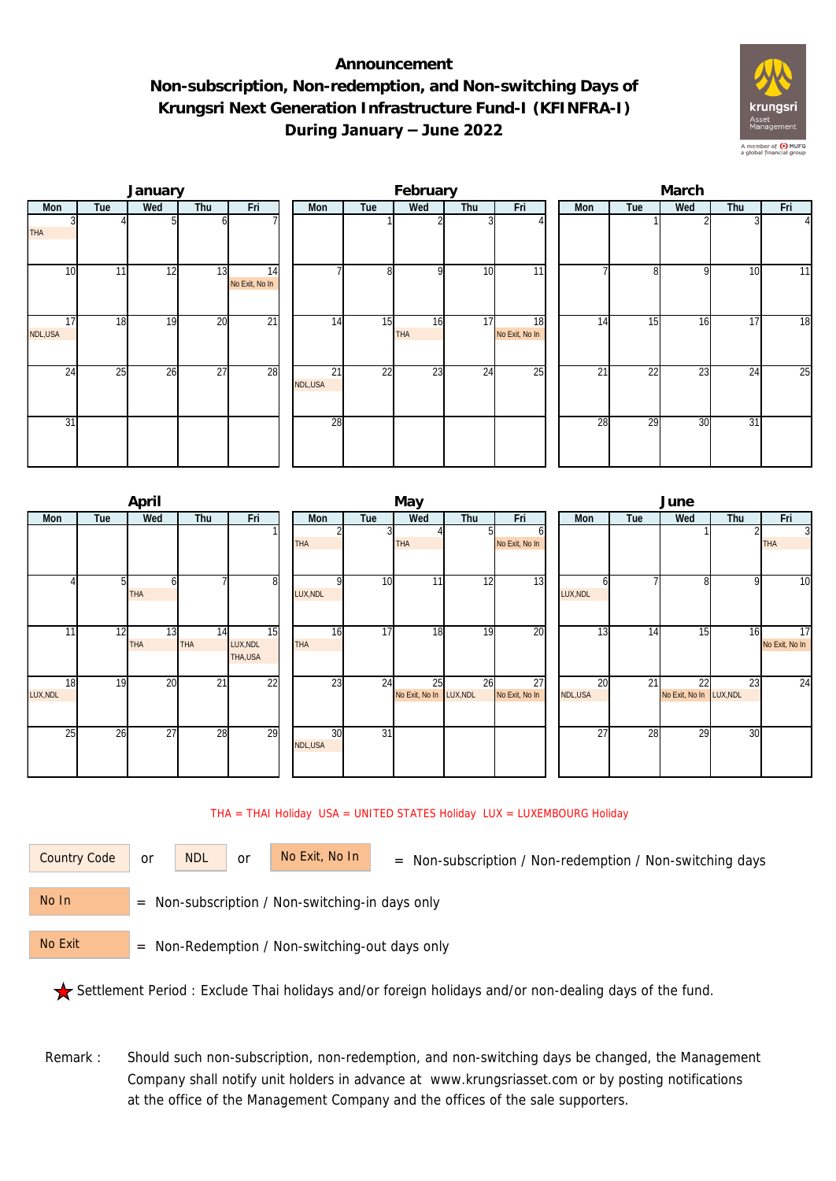## **Announcement Non-subscription, Non-redemption, and Non-switching Days of Krungsri Next Generation Infrastructure Fund-I (KFINFRA-I) During January – June 2022**



|               |     | January |                 |                      | February      |     |           |     |                                   |  | March |                 |     |     |                |  |  |
|---------------|-----|---------|-----------------|----------------------|---------------|-----|-----------|-----|-----------------------------------|--|-------|-----------------|-----|-----|----------------|--|--|
| Mon           | Tue | Wed     | Thu<br>Fri      |                      | Mon           | Tue | Wed       | Thu | Fri                               |  | Mon   | Tue             | Wed | Thu | Fri            |  |  |
| <b>THA</b>    |     |         | ΩI              |                      |               |     |           |     |                                   |  |       |                 |     |     | $\overline{4}$ |  |  |
| 10            | 11  | 12      | 13              | 14<br>No Exit, No In |               | 8   | οI        | 10  | 11                                |  |       | 81              | 9   | 10  | 11             |  |  |
| 17<br>NDL,USA | 18  | 19      | 20              | $\overline{21}$      | 14            | 15  | 16<br>THA | 17  | $\overline{18}$<br>No Exit, No In |  | 14    | 15              | 16  | 17  | 18             |  |  |
| 24            | 25  | 26      | $\overline{27}$ | 28                   | 21<br>NDL,USA | 22  | 23        | 24  | $\overline{25}$                   |  | 21    | $2\overline{2}$ | 23  | 24  | 25             |  |  |
| 31            |     |         |                 |                      | 28            |     |           |     |                                   |  | 28    | 29              | 30  | 31  |                |  |  |

|          |     | April      |     |          |  |            |                 | May                     |     |                | June |          |     |                         |              |                |
|----------|-----|------------|-----|----------|--|------------|-----------------|-------------------------|-----|----------------|------|----------|-----|-------------------------|--------------|----------------|
| Mon      | Tue | Wed        | Thu | Fri      |  |            | Tue             | Wed                     | Thu | Fri            |      | Mon      | Tue | Wed                     | Thu          | Fri            |
|          |     |            |     |          |  |            |                 |                         |     | b              |      |          |     |                         |              | $\overline{3}$ |
|          |     |            |     |          |  | THA        |                 | <b>THA</b>              |     | No Exit, No In |      |          |     |                         |              | <b>THA</b>     |
|          |     |            |     |          |  |            |                 |                         |     |                |      |          |     |                         |              |                |
|          |     |            |     |          |  |            |                 |                         |     |                |      |          |     |                         |              |                |
|          | 51  |            |     | 8        |  |            | 10 <sup>1</sup> | 11                      | 12  | 13             |      |          |     | 81                      | $\mathsf{Q}$ | 10             |
|          |     | <b>THA</b> |     |          |  | LUX, NDL   |                 |                         |     |                |      | LUX, NDL |     |                         |              |                |
|          |     |            |     |          |  |            |                 |                         |     |                |      |          |     |                         |              |                |
| 11       | 12  | 13         | 14  | 15       |  | 16         | 17              | 18                      | 19  | 20             |      | 13       | 14  | 15                      | 16           | 17             |
|          |     | <b>THA</b> | THA | LUX, NDL |  | <b>THA</b> |                 |                         |     |                |      |          |     |                         |              | No Exit, No In |
|          |     |            |     | THA,USA  |  |            |                 |                         |     |                |      |          |     |                         |              |                |
|          |     |            |     |          |  |            |                 |                         |     |                |      |          |     |                         |              |                |
| 18       | 19  | 20         | 21  | 22       |  | 23         | 24              | 25                      | 26  | 27             |      | 20       | 21  | 22                      | 23           | 24             |
| LUX, NDL |     |            |     |          |  |            |                 | No Exit, No In LUX, NDL |     | No Exit, No In |      | NDL,USA  |     | No Exit, No In LUX, NDL |              |                |
|          |     |            |     |          |  |            |                 |                         |     |                |      |          |     |                         |              |                |
|          |     |            |     |          |  |            |                 |                         |     |                |      |          |     |                         |              |                |
| 25       | 26  | 27         | 28  | 29       |  | 30         | $\overline{31}$ |                         |     |                |      | 27       | 28  | 29                      | 30           |                |
|          |     |            |     |          |  | NDL,USA    |                 |                         |     |                |      |          |     |                         |              |                |
|          |     |            |     |          |  |            |                 |                         |     |                |      |          |     |                         |              |                |
|          |     |            |     |          |  |            |                 |                         |     |                |      |          |     |                         |              |                |

THA = THAI Holiday USA = UNITED STATES Holiday LUX = LUXEMBOURG Holiday

or NDL or

Country Code or NDL or No Exit, No In = Non-subscription / Non-redemption / Non-switching days

 = Non-subscription / Non-switching-in days only No In

 = Non-Redemption / Non-switching-out days only No Exit

Settlement Period : Exclude Thai holidays and/or foreign holidays and/or non-dealing days of the fund.

Remark : Should such non-subscription, non-redemption, and non-switching days be changed, the Management Company shall notify unit holders in advance at www.krungsriasset.com or by posting notifications at the office of the Management Company and the offices of the sale supporters.